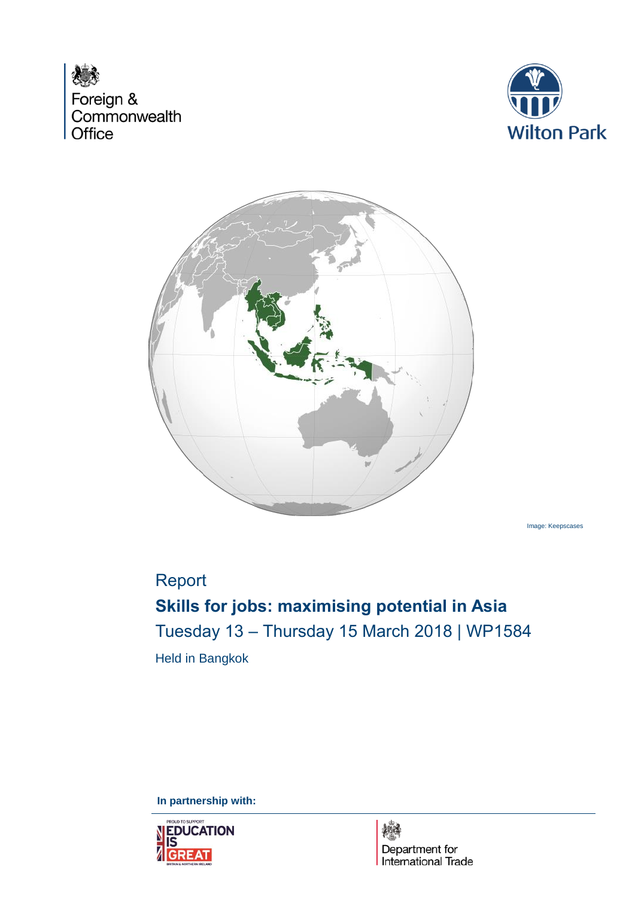





Image: Keepscases

## Report

# **Skills for jobs: maximising potential in Asia** Tuesday 13 – Thursday 15 March 2018 | WP1584 Held in Bangkok

**In partnership with:**

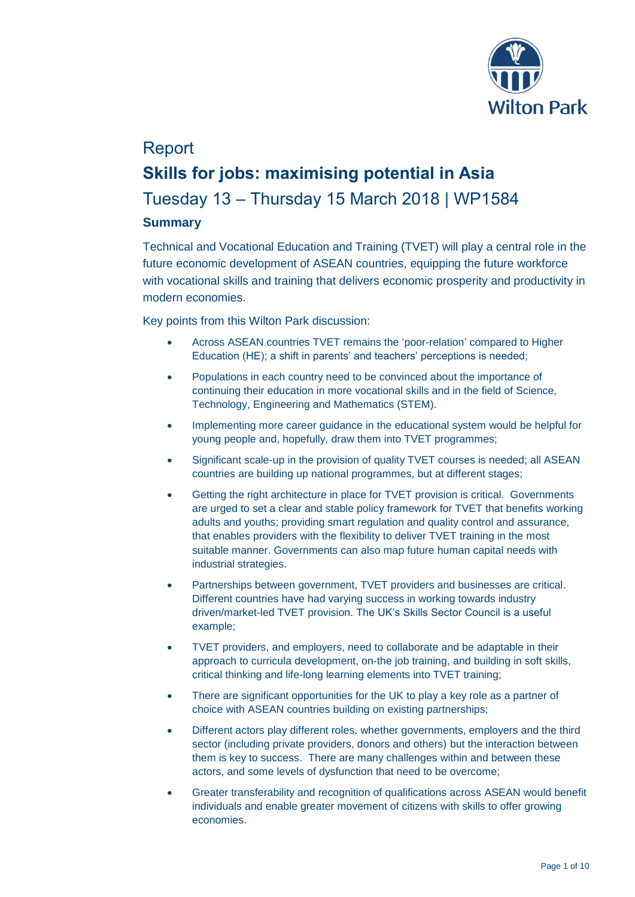

## Report **Skills for jobs: maximising potential in Asia** Tuesday 13 – Thursday 15 March 2018 | WP1584 **Summary**

Technical and Vocational Education and Training (TVET) will play a central role in the future economic development of ASEAN countries, equipping the future workforce with vocational skills and training that delivers economic prosperity and productivity in modern economies.

Key points from this Wilton Park discussion:

- Across ASEAN countries TVET remains the 'poor-relation' compared to Higher Education (HE); a shift in parents' and teachers' perceptions is needed;
- Populations in each country need to be convinced about the importance of continuing their education in more vocational skills and in the field of Science, Technology, Engineering and Mathematics (STEM).
- Implementing more career guidance in the educational system would be helpful for young people and, hopefully, draw them into TVET programmes;
- Significant scale-up in the provision of quality TVET courses is needed; all ASEAN countries are building up national programmes, but at different stages;
- Getting the right architecture in place for TVET provision is critical. Governments are urged to set a clear and stable policy framework for TVET that benefits working adults and youths; providing smart regulation and quality control and assurance, that enables providers with the flexibility to deliver TVET training in the most suitable manner. Governments can also map future human capital needs with industrial strategies.
- Partnerships between government, TVET providers and businesses are critical. Different countries have had varying success in working towards industry driven/market-led TVET provision. The UK's Skills Sector Council is a useful example;
- TVET providers, and employers, need to collaborate and be adaptable in their approach to curricula development, on-the job training, and building in soft skills, critical thinking and life-long learning elements into TVET training;
- There are significant opportunities for the UK to play a key role as a partner of choice with ASEAN countries building on existing partnerships;
- Different actors play different roles, whether governments, employers and the third sector (including private providers, donors and others) but the interaction between them is key to success. There are many challenges within and between these actors, and some levels of dysfunction that need to be overcome;
- Greater transferability and recognition of qualifications across ASEAN would benefit individuals and enable greater movement of citizens with skills to offer growing economies.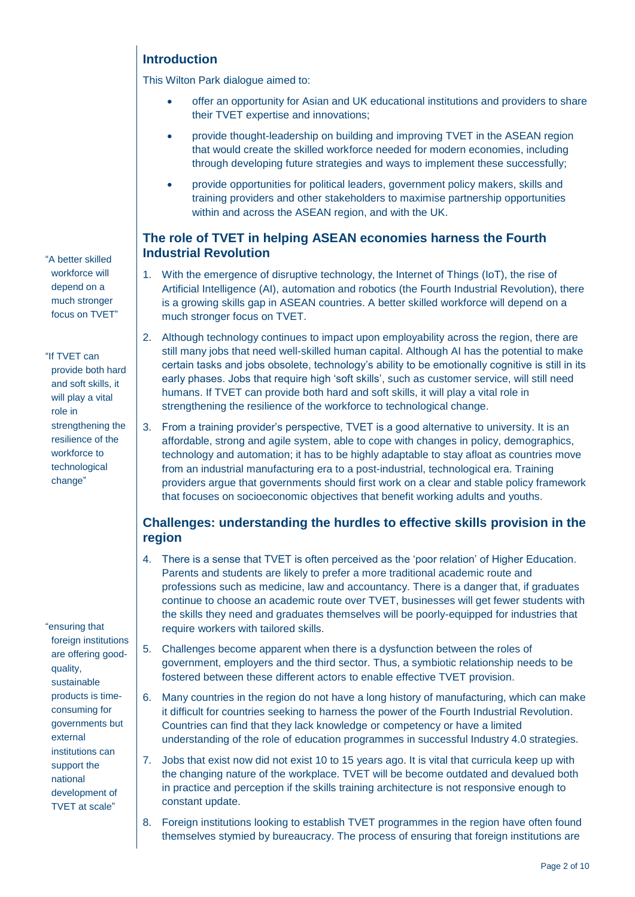## **Introduction**

This Wilton Park dialogue aimed to:

- offer an opportunity for Asian and UK educational institutions and providers to share their TVET expertise and innovations;
- provide thought-leadership on building and improving TVET in the ASEAN region that would create the skilled workforce needed for modern economies, including through developing future strategies and ways to implement these successfully;
- provide opportunities for political leaders, government policy makers, skills and training providers and other stakeholders to maximise partnership opportunities within and across the ASEAN region, and with the UK.

## **The role of TVET in helping ASEAN economies harness the Fourth Industrial Revolution**

- 1. With the emergence of disruptive technology, the Internet of Things (IoT), the rise of Artificial Intelligence (AI), automation and robotics (the Fourth Industrial Revolution), there is a growing skills gap in ASEAN countries. A better skilled workforce will depend on a much stronger focus on TVET.
- 2. Although technology continues to impact upon employability across the region, there are still many jobs that need well-skilled human capital. Although AI has the potential to make certain tasks and jobs obsolete, technology's ability to be emotionally cognitive is still in its early phases. Jobs that require high 'soft skills', such as customer service, will still need humans. If TVET can provide both hard and soft skills, it will play a vital role in strengthening the resilience of the workforce to technological change.
- 3. From a training provider's perspective, TVET is a good alternative to university. It is an affordable, strong and agile system, able to cope with changes in policy, demographics, technology and automation; it has to be highly adaptable to stay afloat as countries move from an industrial manufacturing era to a post-industrial, technological era. Training providers argue that governments should first work on a clear and stable policy framework that focuses on socioeconomic objectives that benefit working adults and youths.

## **Challenges: understanding the hurdles to effective skills provision in the region**

- 4. There is a sense that TVET is often perceived as the 'poor relation' of Higher Education. Parents and students are likely to prefer a more traditional academic route and professions such as medicine, law and accountancy. There is a danger that, if graduates continue to choose an academic route over TVET, businesses will get fewer students with the skills they need and graduates themselves will be poorly-equipped for industries that require workers with tailored skills.
- 5. Challenges become apparent when there is a dysfunction between the roles of government, employers and the third sector. Thus, a symbiotic relationship needs to be fostered between these different actors to enable effective TVET provision.
- 6. Many countries in the region do not have a long history of manufacturing, which can make it difficult for countries seeking to harness the power of the Fourth Industrial Revolution. Countries can find that they lack knowledge or competency or have a limited understanding of the role of education programmes in successful Industry 4.0 strategies.
- 7. Jobs that exist now did not exist 10 to 15 years ago. It is vital that curricula keep up with the changing nature of the workplace. TVET will be become outdated and devalued both in practice and perception if the skills training architecture is not responsive enough to constant update.
- 8. Foreign institutions looking to establish TVET programmes in the region have often found themselves stymied by bureaucracy. The process of ensuring that foreign institutions are

"A better skilled workforce will depend on a much stronger focus on TVET"

"If TVET can provide both hard and soft skills, it will play a vital role in strengthening the resilience of the workforce to technological change"

"ensuring that foreign institutions are offering goodquality, sustainable products is timeconsuming for governments but external institutions can support the national development of TVET at scale"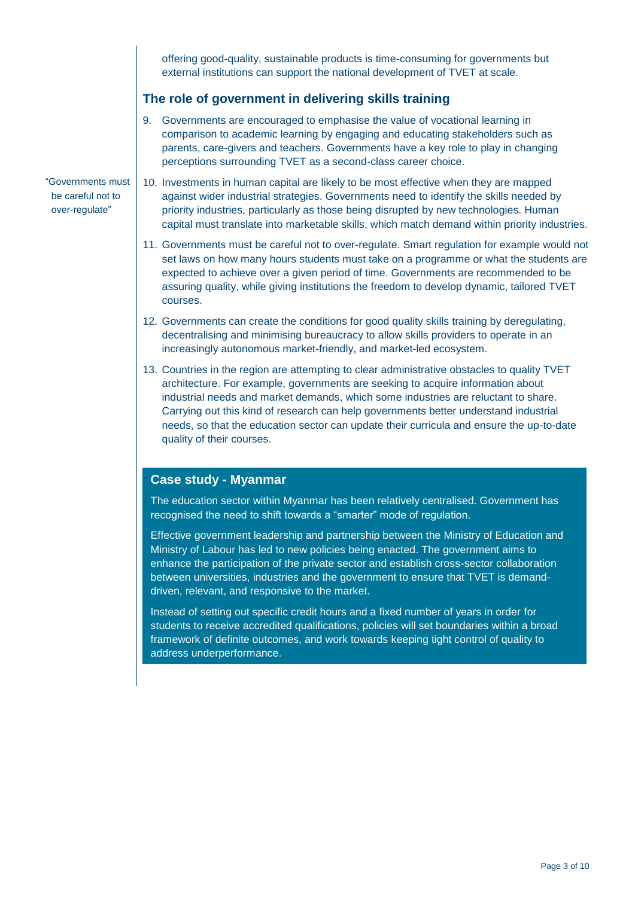offering good-quality, sustainable products is time-consuming for governments but external institutions can support the national development of TVET at scale.

#### **The role of government in delivering skills training**

- 9. Governments are encouraged to emphasise the value of vocational learning in comparison to academic learning by engaging and educating stakeholders such as parents, care-givers and teachers. Governments have a key role to play in changing perceptions surrounding TVET as a second-class career choice.
- 10. Investments in human capital are likely to be most effective when they are mapped against wider industrial strategies. Governments need to identify the skills needed by priority industries, particularly as those being disrupted by new technologies. Human capital must translate into marketable skills, which match demand within priority industries.
	- 11. Governments must be careful not to over-regulate. Smart regulation for example would not set laws on how many hours students must take on a programme or what the students are expected to achieve over a given period of time. Governments are recommended to be assuring quality, while giving institutions the freedom to develop dynamic, tailored TVET courses.
	- 12. Governments can create the conditions for good quality skills training by deregulating, decentralising and minimising bureaucracy to allow skills providers to operate in an increasingly autonomous market-friendly, and market-led ecosystem.
	- 13. Countries in the region are attempting to clear administrative obstacles to quality TVET architecture. For example, governments are seeking to acquire information about industrial needs and market demands, which some industries are reluctant to share. Carrying out this kind of research can help governments better understand industrial needs, so that the education sector can update their curricula and ensure the up-to-date quality of their courses.

#### **Case study - Myanmar**

The education sector within Myanmar has been relatively centralised. Government has recognised the need to shift towards a "smarter" mode of regulation.

Effective government leadership and partnership between the Ministry of Education and Ministry of Labour has led to new policies being enacted. The government aims to enhance the participation of the private sector and establish cross-sector collaboration between universities, industries and the government to ensure that TVET is demanddriven, relevant, and responsive to the market.

Instead of setting out specific credit hours and a fixed number of years in order for students to receive accredited qualifications, policies will set boundaries within a broad framework of definite outcomes, and work towards keeping tight control of quality to address underperformance.

"Governments must be careful not to over-regulate"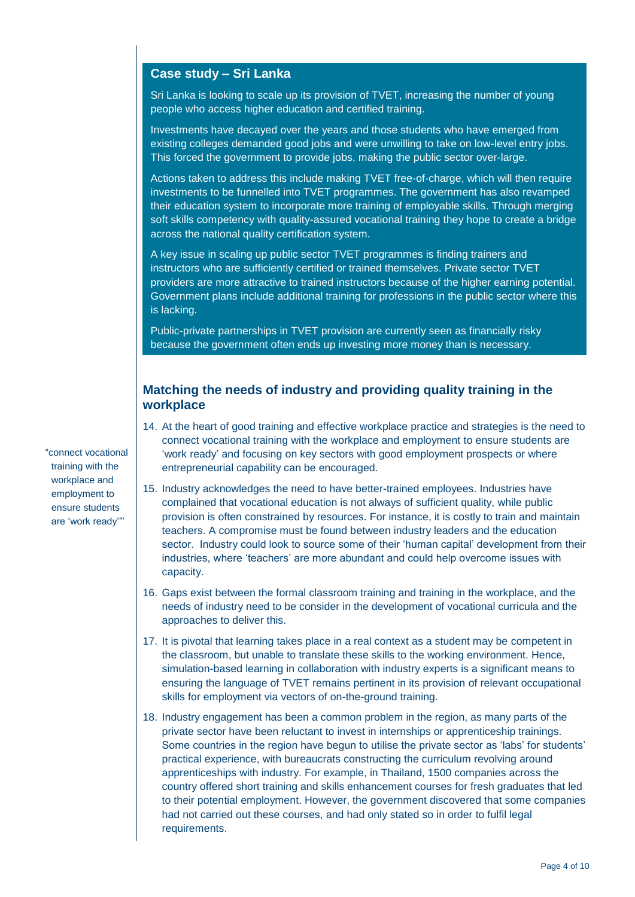#### **Case study – Sri Lanka**

Sri Lanka is looking to scale up its provision of TVET, increasing the number of young people who access higher education and certified training.

Investments have decayed over the years and those students who have emerged from existing colleges demanded good jobs and were unwilling to take on low-level entry jobs. This forced the government to provide jobs, making the public sector over-large.

Actions taken to address this include making TVET free-of-charge, which will then require investments to be funnelled into TVET programmes. The government has also revamped their education system to incorporate more training of employable skills. Through merging soft skills competency with quality-assured vocational training they hope to create a bridge across the national quality certification system.

A key issue in scaling up public sector TVET programmes is finding trainers and instructors who are sufficiently certified or trained themselves. Private sector TVET providers are more attractive to trained instructors because of the higher earning potential. Government plans include additional training for professions in the public sector where this is lacking.

Public-private partnerships in TVET provision are currently seen as financially risky because the government often ends up investing more money than is necessary.

## **Matching the needs of industry and providing quality training in the workplace**

- 14. At the heart of good training and effective workplace practice and strategies is the need to connect vocational training with the workplace and employment to ensure students are 'work ready' and focusing on key sectors with good employment prospects or where entrepreneurial capability can be encouraged.
- 15. Industry acknowledges the need to have better-trained employees. Industries have complained that vocational education is not always of sufficient quality, while public provision is often constrained by resources. For instance, it is costly to train and maintain teachers. A compromise must be found between industry leaders and the education sector. Industry could look to source some of their 'human capital' development from their industries, where 'teachers' are more abundant and could help overcome issues with capacity.
- 16. Gaps exist between the formal classroom training and training in the workplace, and the needs of industry need to be consider in the development of vocational curricula and the approaches to deliver this.
- 17. It is pivotal that learning takes place in a real context as a student may be competent in the classroom, but unable to translate these skills to the working environment. Hence, simulation-based learning in collaboration with industry experts is a significant means to ensuring the language of TVET remains pertinent in its provision of relevant occupational skills for employment via vectors of on-the-ground training.
- 18. Industry engagement has been a common problem in the region, as many parts of the private sector have been reluctant to invest in internships or apprenticeship trainings. Some countries in the region have begun to utilise the private sector as 'labs' for students' practical experience, with bureaucrats constructing the curriculum revolving around apprenticeships with industry. For example, in Thailand, 1500 companies across the country offered short training and skills enhancement courses for fresh graduates that led to their potential employment. However, the government discovered that some companies had not carried out these courses, and had only stated so in order to fulfil legal requirements.

"connect vocational training with the workplace and employment to ensure students are 'work ready'"'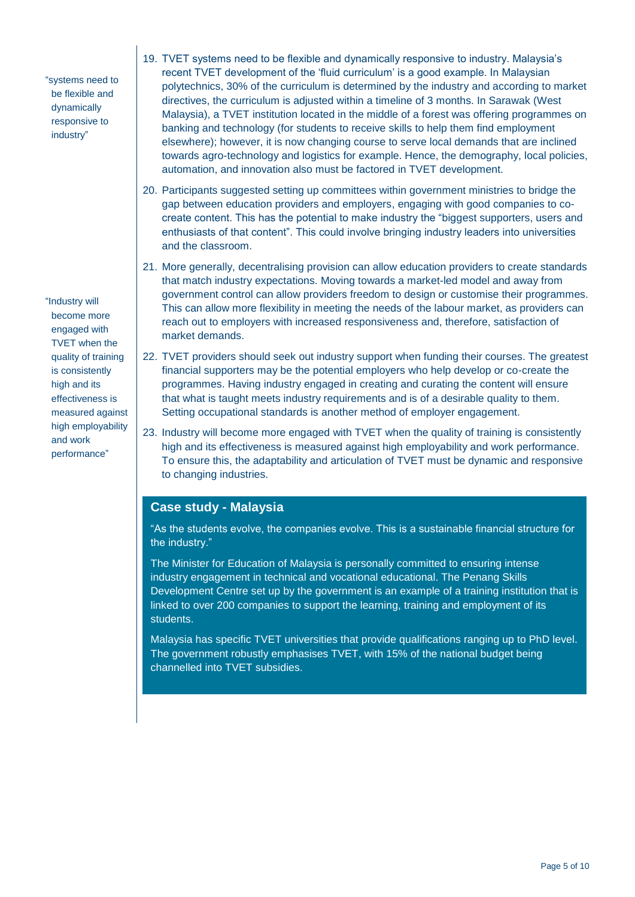"systems need to be flexible and dynamically responsive to industry"

"Industry will become more engaged with TVET when the quality of training is consistently high and its effectiveness is measured against high employability and work performance"

- 19. TVET systems need to be flexible and dynamically responsive to industry. Malaysia's recent TVET development of the 'fluid curriculum' is a good example. In Malaysian polytechnics, 30% of the curriculum is determined by the industry and according to market directives, the curriculum is adjusted within a timeline of 3 months. In Sarawak (West Malaysia), a TVET institution located in the middle of a forest was offering programmes on banking and technology (for students to receive skills to help them find employment elsewhere); however, it is now changing course to serve local demands that are inclined towards agro-technology and logistics for example. Hence, the demography, local policies, automation, and innovation also must be factored in TVET development.
- 20. Participants suggested setting up committees within government ministries to bridge the gap between education providers and employers, engaging with good companies to cocreate content. This has the potential to make industry the "biggest supporters, users and enthusiasts of that content". This could involve bringing industry leaders into universities and the classroom.
- 21. More generally, decentralising provision can allow education providers to create standards that match industry expectations. Moving towards a market-led model and away from government control can allow providers freedom to design or customise their programmes. This can allow more flexibility in meeting the needs of the labour market, as providers can reach out to employers with increased responsiveness and, therefore, satisfaction of market demands.
- 22. TVET providers should seek out industry support when funding their courses. The greatest financial supporters may be the potential employers who help develop or co-create the programmes. Having industry engaged in creating and curating the content will ensure that what is taught meets industry requirements and is of a desirable quality to them. Setting occupational standards is another method of employer engagement.
- 23. Industry will become more engaged with TVET when the quality of training is consistently high and its effectiveness is measured against high employability and work performance. To ensure this, the adaptability and articulation of TVET must be dynamic and responsive to changing industries.

#### **Case study - Malaysia**

"As the students evolve, the companies evolve. This is a sustainable financial structure for the industry."

The Minister for Education of Malaysia is personally committed to ensuring intense industry engagement in technical and vocational educational. The Penang Skills Development Centre set up by the government is an example of a training institution that is linked to over 200 companies to support the learning, training and employment of its students.

Malaysia has specific TVET universities that provide qualifications ranging up to PhD level. The government robustly emphasises TVET, with 15% of the national budget being channelled into TVET subsidies.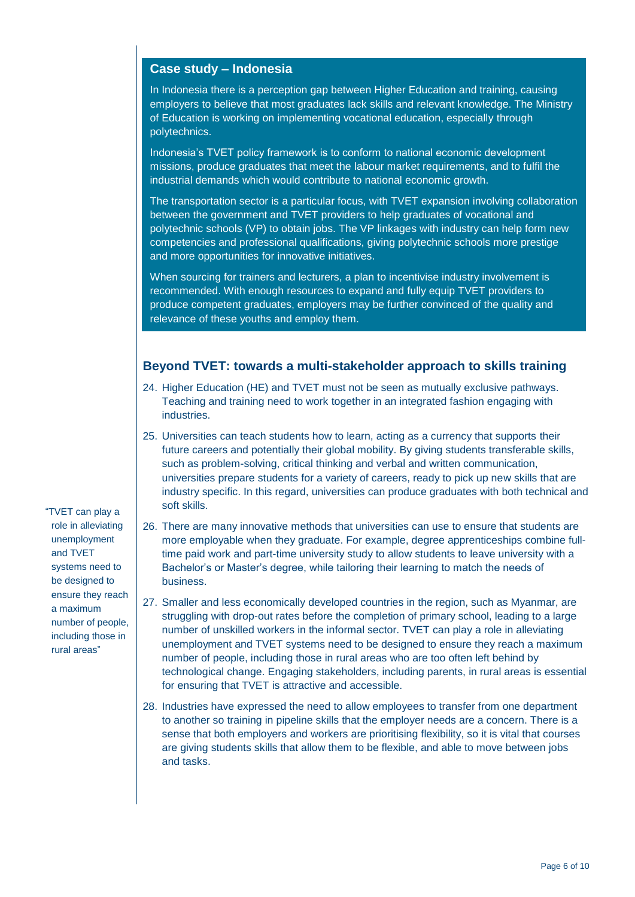## **Case study – Indonesia**

In Indonesia there is a perception gap between Higher Education and training, causing employers to believe that most graduates lack skills and relevant knowledge. The Ministry of Education is working on implementing vocational education, especially through polytechnics.

Indonesia's TVET policy framework is to conform to national economic development missions, produce graduates that meet the labour market requirements, and to fulfil the industrial demands which would contribute to national economic growth.

The transportation sector is a particular focus, with TVET expansion involving collaboration between the government and TVET providers to help graduates of vocational and polytechnic schools (VP) to obtain jobs. The VP linkages with industry can help form new competencies and professional qualifications, giving polytechnic schools more prestige and more opportunities for innovative initiatives.

When sourcing for trainers and lecturers, a plan to incentivise industry involvement is recommended. With enough resources to expand and fully equip TVET providers to produce competent graduates, employers may be further convinced of the quality and relevance of these youths and employ them.

#### **Beyond TVET: towards a multi-stakeholder approach to skills training**

- 24. Higher Education (HE) and TVET must not be seen as mutually exclusive pathways. Teaching and training need to work together in an integrated fashion engaging with industries.
- 25. Universities can teach students how to learn, acting as a currency that supports their future careers and potentially their global mobility. By giving students transferable skills, such as problem-solving, critical thinking and verbal and written communication, universities prepare students for a variety of careers, ready to pick up new skills that are industry specific. In this regard, universities can produce graduates with both technical and soft skills.
- 26. There are many innovative methods that universities can use to ensure that students are more employable when they graduate. For example, degree apprenticeships combine fulltime paid work and part-time university study to allow students to leave university with a Bachelor's or Master's degree, while tailoring their learning to match the needs of business.
- 27. Smaller and less economically developed countries in the region, such as Myanmar, are struggling with drop-out rates before the completion of primary school, leading to a large number of unskilled workers in the informal sector. TVET can play a role in alleviating unemployment and TVET systems need to be designed to ensure they reach a maximum number of people, including those in rural areas who are too often left behind by technological change. Engaging stakeholders, including parents, in rural areas is essential for ensuring that TVET is attractive and accessible.
- 28. Industries have expressed the need to allow employees to transfer from one department to another so training in pipeline skills that the employer needs are a concern. There is a sense that both employers and workers are prioritising flexibility, so it is vital that courses are giving students skills that allow them to be flexible, and able to move between jobs and tasks.

"TVET can play a role in alleviating unemployment and TVET systems need to be designed to ensure they reach a maximum number of people, including those in rural areas"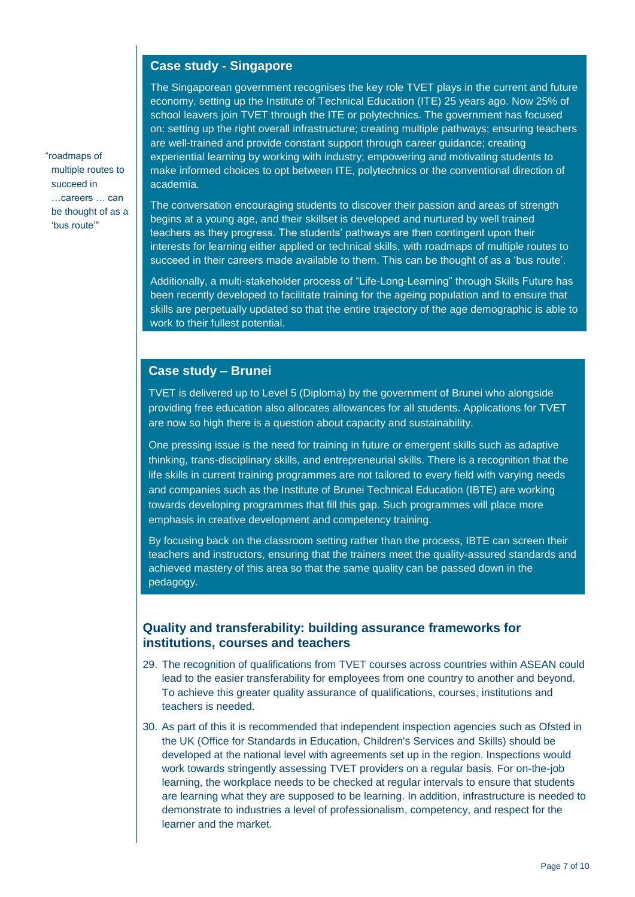### **Case study - Singapore**

The Singaporean government recognises the key role TVET plays in the current and future economy, setting up the Institute of Technical Education (ITE) 25 years ago. Now 25% of school leavers join TVET through the ITE or polytechnics. The government has focused on: setting up the right overall infrastructure; creating multiple pathways; ensuring teachers are well-trained and provide constant support through career guidance; creating experiential learning by working with industry; empowering and motivating students to make informed choices to opt between ITE, polytechnics or the conventional direction of academia.

The conversation encouraging students to discover their passion and areas of strength begins at a young age, and their skillset is developed and nurtured by well trained teachers as they progress. The students' pathways are then contingent upon their interests for learning either applied or technical skills, with roadmaps of multiple routes to succeed in their careers made available to them. This can be thought of as a 'bus route'.

Additionally, a multi-stakeholder process of "Life-Long-Learning" through Skills Future has been recently developed to facilitate training for the ageing population and to ensure that skills are perpetually updated so that the entire trajectory of the age demographic is able to work to their fullest potential.

#### **Case study – Brunei**

TVET is delivered up to Level 5 (Diploma) by the government of Brunei who alongside providing free education also allocates allowances for all students. Applications for TVET are now so high there is a question about capacity and sustainability.

One pressing issue is the need for training in future or emergent skills such as adaptive thinking, trans-disciplinary skills, and entrepreneurial skills. There is a recognition that the life skills in current training programmes are not tailored to every field with varying needs and companies such as the Institute of Brunei Technical Education (IBTE) are working towards developing programmes that fill this gap. Such programmes will place more emphasis in creative development and competency training.

By focusing back on the classroom setting rather than the process, IBTE can screen their teachers and instructors, ensuring that the trainers meet the quality-assured standards and achieved mastery of this area so that the same quality can be passed down in the pedagogy.

#### **Quality and transferability: building assurance frameworks for institutions, courses and teachers**

- 29. The recognition of qualifications from TVET courses across countries within ASEAN could lead to the easier transferability for employees from one country to another and beyond. To achieve this greater quality assurance of qualifications, courses, institutions and teachers is needed.
- 30. As part of this it is recommended that independent inspection agencies such as Ofsted in the UK (Office for Standards in Education, Children's Services and Skills) should be developed at the national level with agreements set up in the region. Inspections would work towards stringently assessing TVET providers on a regular basis. For on-the-job learning, the workplace needs to be checked at regular intervals to ensure that students are learning what they are supposed to be learning. In addition, infrastructure is needed to demonstrate to industries a level of professionalism, competency, and respect for the learner and the market.

"roadmaps of multiple routes to succeed in …careers … can be thought of as a 'bus route'"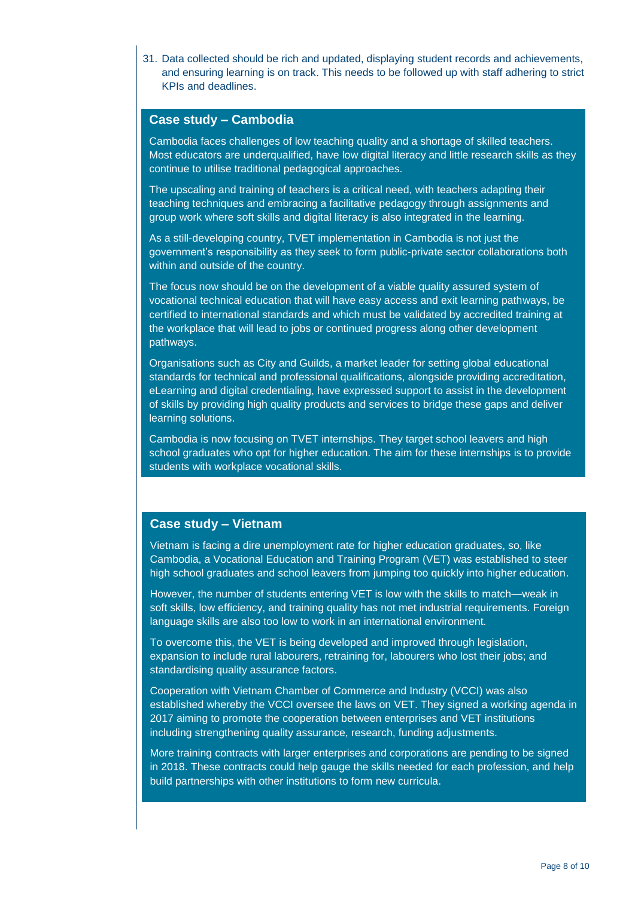31. Data collected should be rich and updated, displaying student records and achievements, and ensuring learning is on track. This needs to be followed up with staff adhering to strict KPIs and deadlines.

#### **Case study – Cambodia**

Cambodia faces challenges of low teaching quality and a shortage of skilled teachers. Most educators are underqualified, have low digital literacy and little research skills as they continue to utilise traditional pedagogical approaches.

The upscaling and training of teachers is a critical need, with teachers adapting their teaching techniques and embracing a facilitative pedagogy through assignments and group work where soft skills and digital literacy is also integrated in the learning.

As a still-developing country, TVET implementation in Cambodia is not just the government's responsibility as they seek to form public-private sector collaborations both within and outside of the country.

The focus now should be on the development of a viable quality assured system of vocational technical education that will have easy access and exit learning pathways, be certified to international standards and which must be validated by accredited training at the workplace that will lead to jobs or continued progress along other development pathways.

Organisations such as City and Guilds, a market leader for setting global educational standards for technical and professional qualifications, alongside providing accreditation, eLearning and digital credentialing, have expressed support to assist in the development of skills by providing high quality products and services to bridge these gaps and deliver learning solutions.

Cambodia is now focusing on TVET internships. They target school leavers and high school graduates who opt for higher education. The aim for these internships is to provide students with workplace vocational skills.

#### **Case study – Vietnam**

Vietnam is facing a dire unemployment rate for higher education graduates, so, like Cambodia, a Vocational Education and Training Program (VET) was established to steer high school graduates and school leavers from jumping too quickly into higher education.

However, the number of students entering VET is low with the skills to match—weak in soft skills, low efficiency, and training quality has not met industrial requirements. Foreign language skills are also too low to work in an international environment.

To overcome this, the VET is being developed and improved through legislation, expansion to include rural labourers, retraining for, labourers who lost their jobs; and standardising quality assurance factors.

Cooperation with Vietnam Chamber of Commerce and Industry (VCCI) was also established whereby the VCCI oversee the laws on VET. They signed a working agenda in 2017 aiming to promote the cooperation between enterprises and VET institutions including strengthening quality assurance, research, funding adjustments.

More training contracts with larger enterprises and corporations are pending to be signed in 2018. These contracts could help gauge the skills needed for each profession, and help build partnerships with other institutions to form new curricula.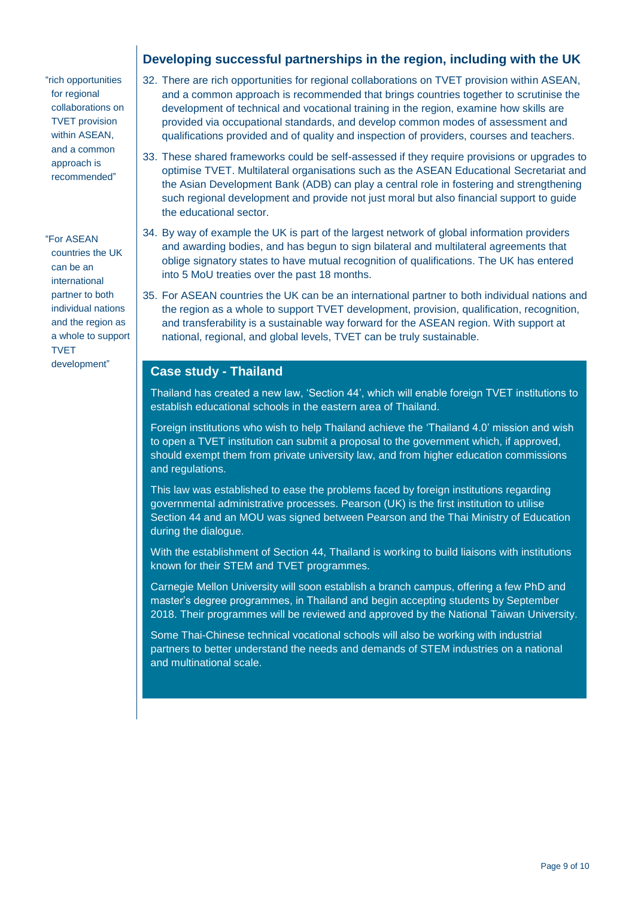## **Developing successful partnerships in the region, including with the UK**

"rich opportunities for regional collaborations on TVET provision within ASEAN, and a common approach is recommended"

"For ASEAN countries the UK can be an international partner to both individual nations and the region as a whole to support

development"

TVET

- 32. There are rich opportunities for regional collaborations on TVET provision within ASEAN, and a common approach is recommended that brings countries together to scrutinise the development of technical and vocational training in the region, examine how skills are provided via occupational standards, and develop common modes of assessment and qualifications provided and of quality and inspection of providers, courses and teachers.
- 33. These shared frameworks could be self-assessed if they require provisions or upgrades to optimise TVET. Multilateral organisations such as the ASEAN Educational Secretariat and the Asian Development Bank (ADB) can play a central role in fostering and strengthening such regional development and provide not just moral but also financial support to guide the educational sector.
- 34. By way of example the UK is part of the largest network of global information providers and awarding bodies, and has begun to sign bilateral and multilateral agreements that oblige signatory states to have mutual recognition of qualifications. The UK has entered into 5 MoU treaties over the past 18 months.
- 35. For ASEAN countries the UK can be an international partner to both individual nations and the region as a whole to support TVET development, provision, qualification, recognition, and transferability is a sustainable way forward for the ASEAN region. With support at national, regional, and global levels, TVET can be truly sustainable.

#### **Case study - Thailand**

Thailand has created a new law, 'Section 44', which will enable foreign TVET institutions to establish educational schools in the eastern area of Thailand.

Foreign institutions who wish to help Thailand achieve the 'Thailand 4.0' mission and wish to open a TVET institution can submit a proposal to the government which, if approved, should exempt them from private university law, and from higher education commissions and regulations.

This law was established to ease the problems faced by foreign institutions regarding governmental administrative processes. Pearson (UK) is the first institution to utilise Section 44 and an MOU was signed between Pearson and the Thai Ministry of Education during the dialogue.

With the establishment of Section 44, Thailand is working to build liaisons with institutions known for their STEM and TVET programmes.

Carnegie Mellon University will soon establish a branch campus, offering a few PhD and master's degree programmes, in Thailand and begin accepting students by September 2018. Their programmes will be reviewed and approved by the National Taiwan University.

Some Thai-Chinese technical vocational schools will also be working with industrial partners to better understand the needs and demands of STEM industries on a national and multinational scale.